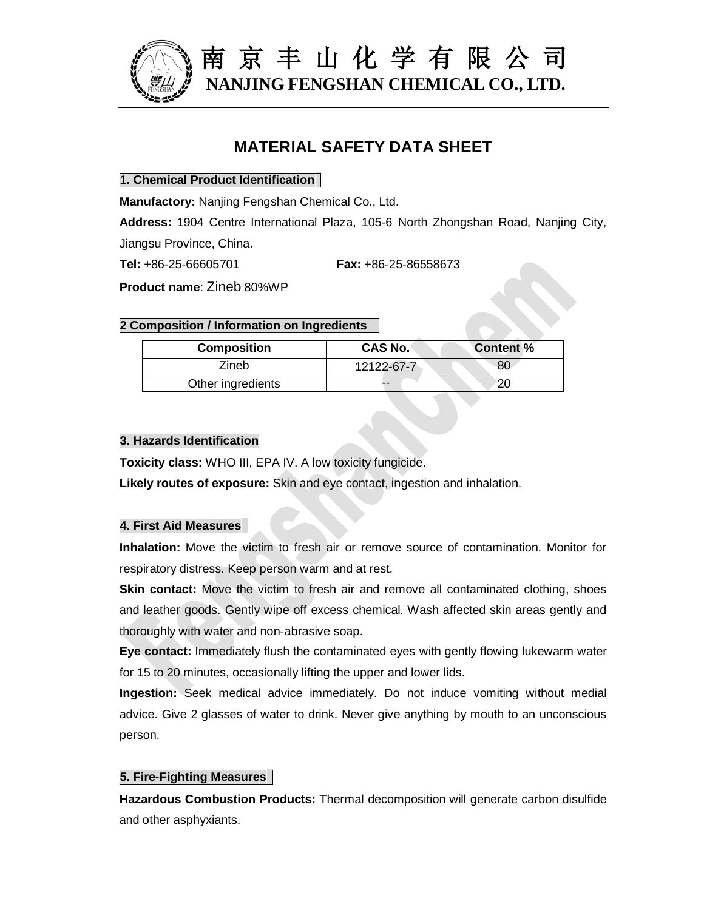

# **MATERIAL SAFETY DATA SHEET**

## **1. Chemical Product Identification**

**Manufactory:** Nanjing Fengshan Chemical Co., Ltd.

**Address:** 1904 Centre International Plaza, 105-6 North Zhongshan Road, Nanjing City, Jiangsu Province, China.

**Tel:** +86-25-66605701 **Fax:** +86-25-86558673

**Product name**: Zineb 80%WP

# **2 Composition / Information on Ingredients**

| <b>Composition</b> | <b>CAS No.</b> | <b>Content %</b> |
|--------------------|----------------|------------------|
| Zineb              | 12122-67-7     | 80               |
| Other ingredients  | --             |                  |

# **3. Hazards Identification**

**Toxicity class:** WHO III, EPA IV. A low toxicity fungicide.

**Likely routes of exposure:** Skin and eye contact, ingestion and inhalation.

# **4. First Aid Measures**

**Inhalation:** Move the victim to fresh air or remove source of contamination. Monitor for respiratory distress. Keep person warm and at rest.

**Skin contact:** Move the victim to fresh air and remove all contaminated clothing, shoes and leather goods. Gently wipe off excess chemical. Wash affected skin areas gently and thoroughly with water and non-abrasive soap.

**Eye contact:** Immediately flush the contaminated eyes with gently flowing lukewarm water for 15 to 20 minutes, occasionally lifting the upper and lower lids.

**Ingestion:** Seek medical advice immediately. Do not induce vomiting without medial advice. Give 2 glasses of water to drink. Never give anything by mouth to an unconscious person.

## **5. Fire-Fighting Measures**

**Hazardous Combustion Products:** Thermal decomposition will generate carbon disulfide and other asphyxiants.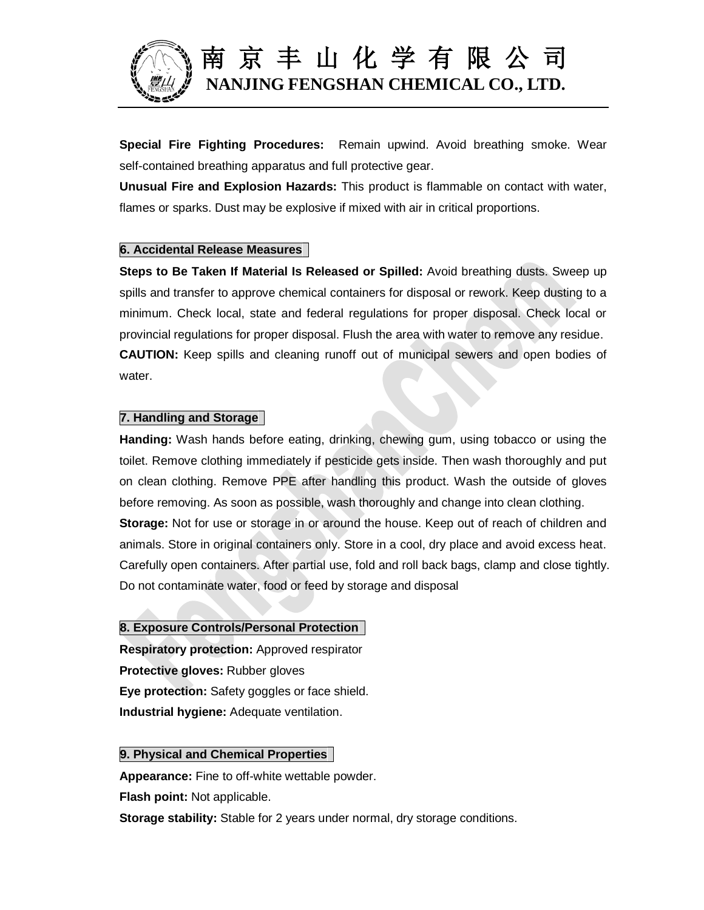

**Special Fire Fighting Procedures:** Remain upwind. Avoid breathing smoke. Wear self-contained breathing apparatus and full protective gear.

**Unusual Fire and Explosion Hazards:** This product is flammable on contact with water, flames or sparks. Dust may be explosive if mixed with air in critical proportions.

## **6. Accidental Release Measures**

**Steps to Be Taken If Material Is Released or Spilled:** Avoid breathing dusts. Sweep up spills and transfer to approve chemical containers for disposal or rework. Keep dusting to a minimum. Check local, state and federal regulations for proper disposal. Check local or provincial regulations for proper disposal. Flush the area with water to remove any residue. **CAUTION:** Keep spills and cleaning runoff out of municipal sewers and open bodies of water.

### **7. Handling and Storage**

**Handing:** Wash hands before eating, drinking, chewing gum, using tobacco or using the toilet. Remove clothing immediately if pesticide gets inside. Then wash thoroughly and put on clean clothing. Remove PPE after handling this product. Wash the outside of gloves before removing. As soon as possible, wash thoroughly and change into clean clothing. **Storage:** Not for use or storage in or around the house. Keep out of reach of children and animals. Store in original containers only. Store in a cool, dry place and avoid excess heat. Carefully open containers. After partial use, fold and roll back bags, clamp and close tightly. Do not contaminate water, food or feed by storage and disposal

## **8. Exposure Controls/Personal Protection**

**Respiratory protection:** Approved respirator **Protective gloves:** Rubber gloves **Eye protection:** Safety goggles or face shield. **Industrial hygiene:** Adequate ventilation.

### **9. Physical and Chemical Properties**

**Appearance:** Fine to off-white wettable powder. **Flash point:** Not applicable. **Storage stability:** Stable for 2 years under normal, dry storage conditions.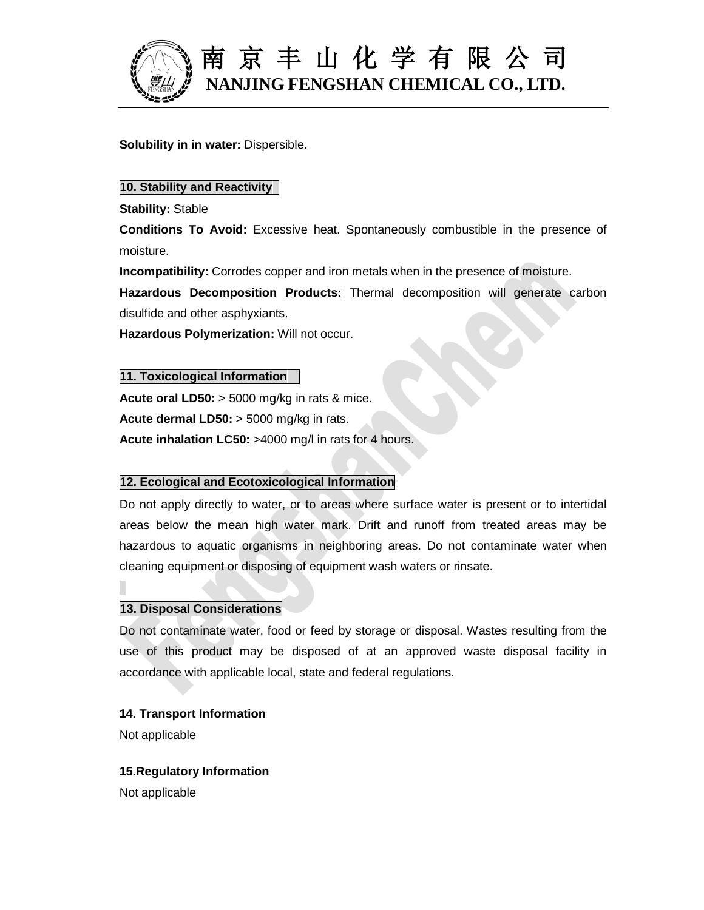

**Solubility in in water:** Dispersible.

### **10. Stability and Reactivity**

**Stability:** Stable

**Conditions To Avoid:** Excessive heat. Spontaneously combustible in the presence of moisture.

**Incompatibility:** Corrodes copper and iron metals when in the presence of moisture.

**Hazardous Decomposition Products:** Thermal decomposition will generate carbon disulfide and other asphyxiants.

**Hazardous Polymerization:** Will not occur.

### **11. Toxicological Information**

**Acute oral LD50:** > 5000 mg/kg in rats & mice. **Acute dermal LD50:** > 5000 mg/kg in rats. **Acute inhalation LC50:** >4000 mg/l in rats for 4 hours.

## **12. Ecological and Ecotoxicological Information**

Do not apply directly to water, or to areas where surface water is present or to intertidal areas below the mean high water mark. Drift and runoff from treated areas may be hazardous to aquatic organisms in neighboring areas. Do not contaminate water when cleaning equipment or disposing of equipment wash waters or rinsate.

## **13. Disposal Considerations**

Do not contaminate water, food or feed by storage or disposal. Wastes resulting from the use of this product may be disposed of at an approved waste disposal facility in accordance with applicable local, state and federal regulations.

### **14. Transport Information**

Not applicable

### **15.Regulatory Information**

Not applicable